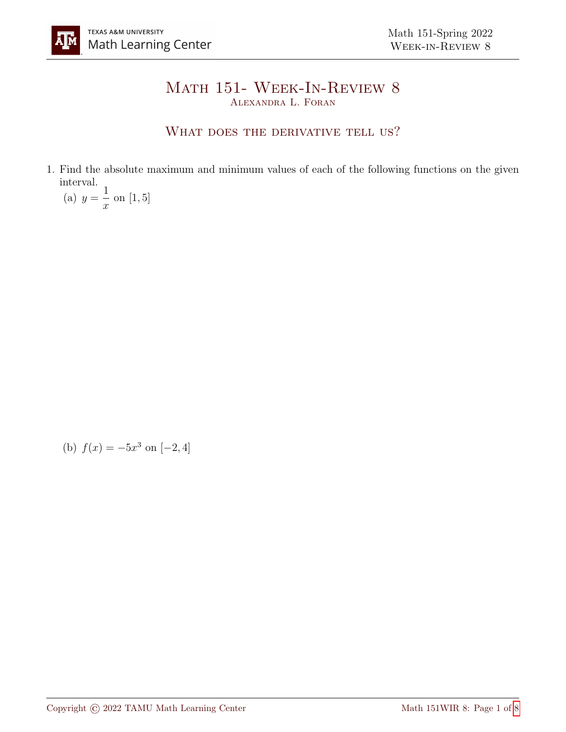$\boldsymbol{x}$ 

## Math 151- Week-In-Review 8 Alexandra L. Foran

## WHAT DOES THE DERIVATIVE TELL US?

1. Find the absolute maximum and minimum values of each of the following functions on the given interval.  $(a)$   $y =$ 1 on [1, 5]

(b) 
$$
f(x) = -5x^3
$$
 on  $[-2, 4]$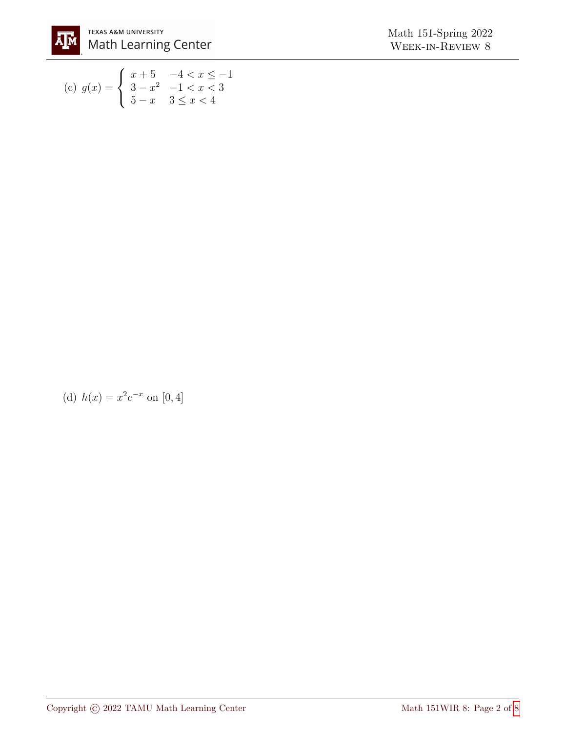

(c) 
$$
g(x) = \begin{cases} x+5 & -4 < x \le -1 \\ 3-x^2 & -1 < x < 3 \\ 5-x & 3 \le x < 4 \end{cases}
$$

(d)  $h(x) = x^2 e^{-x}$  on [0, 4]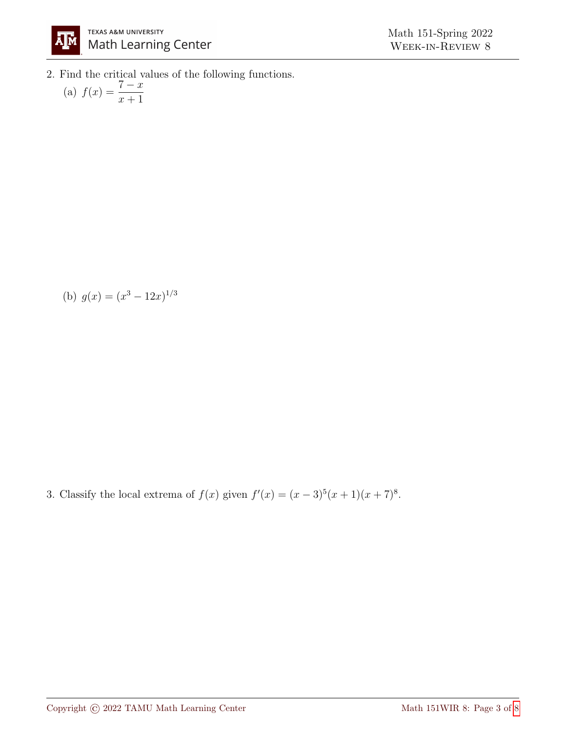

2. Find the critical values of the following functions.

(a) 
$$
f(x) = \frac{7-x}{x+1}
$$

(b)  $g(x) = (x^3 - 12x)^{1/3}$ 

3. Classify the local extrema of  $f(x)$  given  $f'(x) = (x-3)^5(x+1)(x+7)^8$ .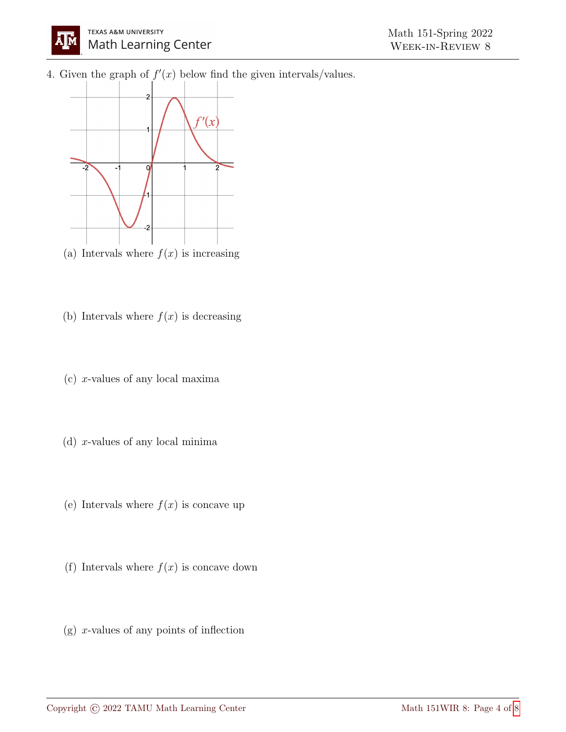4. Given the graph of  $f'(x)$  below find the given intervals/values.



(a) Intervals where  $f(x)$  is increasing

- (b) Intervals where  $f(x)$  is decreasing
- (c) x-values of any local maxima
- (d)  $x$ -values of any local minima
- (e) Intervals where  $f(x)$  is concave up
- (f) Intervals where  $f(x)$  is concave down
- $(g)$  x-values of any points of inflection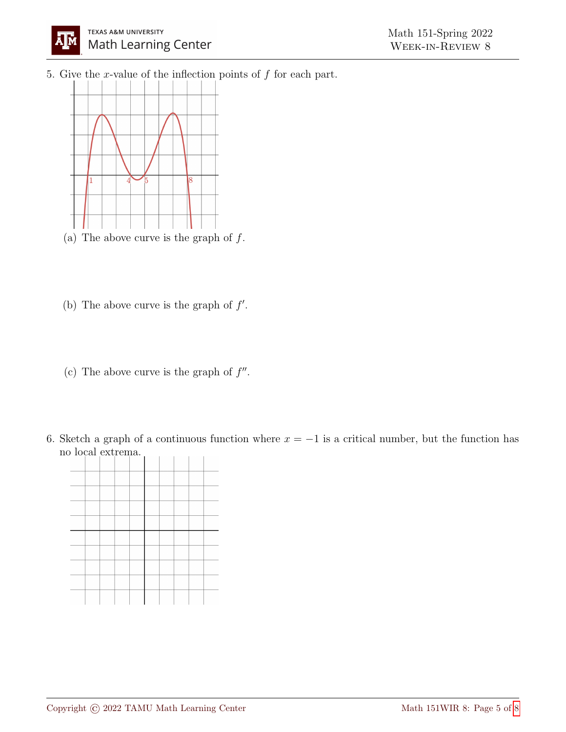5. Give the x-value of the inflection points of  $f$  for each part.



- (b) The above curve is the graph of  $f'$ .
- (c) The above curve is the graph of  $f''$ .
- 6. Sketch a graph of a continuous function where  $x = -1$  is a critical number, but the function has no local extrema.

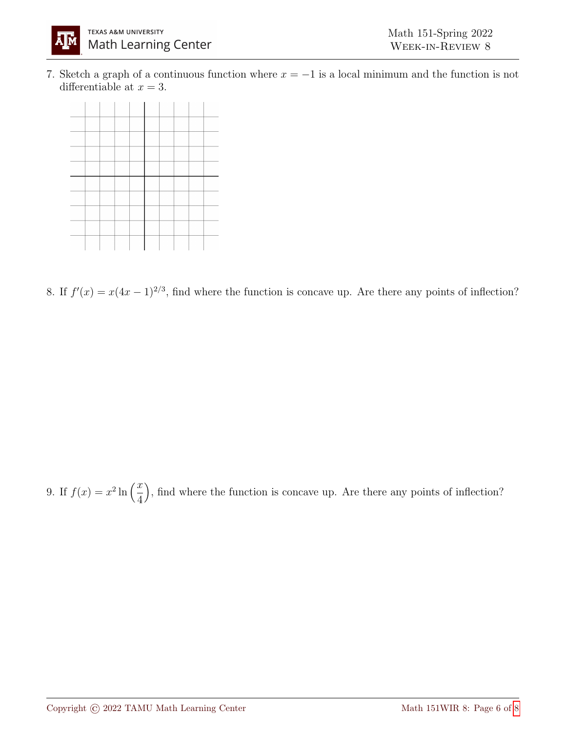

7. Sketch a graph of a continuous function where  $x = -1$  is a local minimum and the function is not differentiable at  $x = 3$ .



8. If  $f'(x) = x(4x-1)^{2/3}$ , find where the function is concave up. Are there any points of inflection?

9. If  $f(x) = x^2 \ln \left( \frac{x}{4} \right)$ 4 , find where the function is concave up. Are there any points of inflection?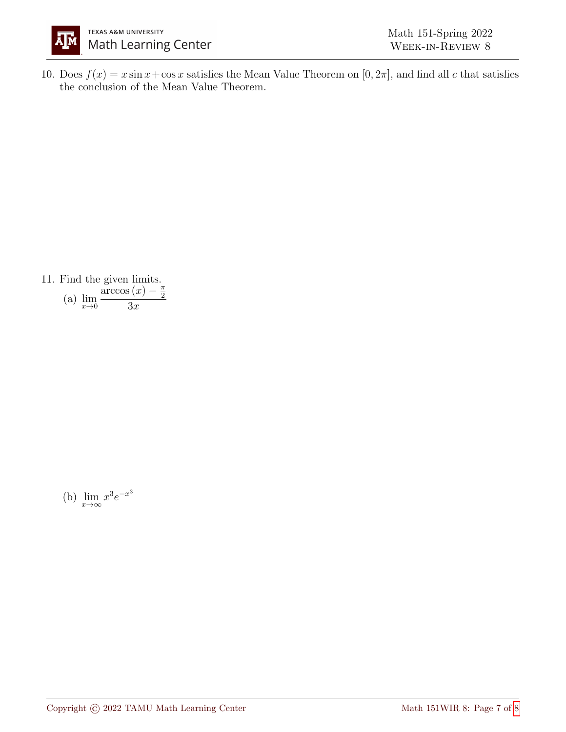

2

10. Does  $f(x) = x \sin x + \cos x$  satisfies the Mean Value Theorem on  $[0, 2\pi]$ , and find all c that satisfies the conclusion of the Mean Value Theorem.

11. Find the given limits.  $\arccos(x)-\frac{\pi}{2}$ 

(a) 
$$
\lim_{x \to 0} \frac{\arccos(x)}{3x}
$$

(b)  $\lim_{x \to \infty} x^3 e^{-x^3}$